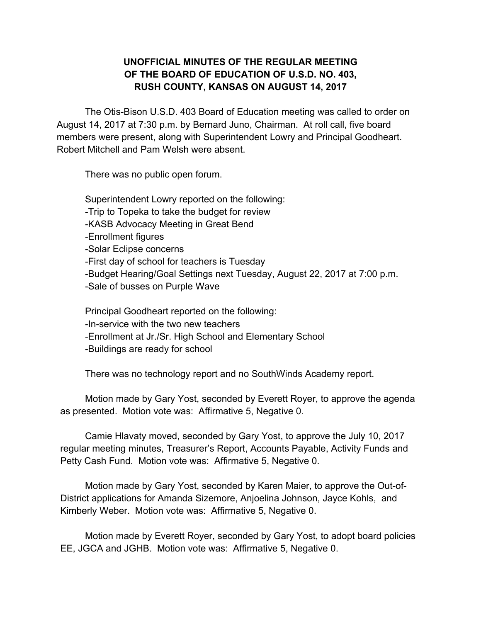## **UNOFFICIAL MINUTES OF THE REGULAR MEETING OF THE BOARD OF EDUCATION OF U.S.D. NO. 403, RUSH COUNTY, KANSAS ON AUGUST 14, 2017**

The Otis-Bison U.S.D. 403 Board of Education meeting was called to order on August 14, 2017 at 7:30 p.m. by Bernard Juno, Chairman. At roll call, five board members were present, along with Superintendent Lowry and Principal Goodheart. Robert Mitchell and Pam Welsh were absent.

There was no public open forum.

Superintendent Lowry reported on the following: -Trip to Topeka to take the budget for review -KASB Advocacy Meeting in Great Bend -Enrollment figures -Solar Eclipse concerns -First day of school for teachers is Tuesday -Budget Hearing/Goal Settings next Tuesday, August 22, 2017 at 7:00 p.m. -Sale of busses on Purple Wave

Principal Goodheart reported on the following: -In-service with the two new teachers -Enrollment at Jr./Sr. High School and Elementary School -Buildings are ready for school

There was no technology report and no SouthWinds Academy report.

Motion made by Gary Yost, seconded by Everett Royer, to approve the agenda as presented. Motion vote was: Affirmative 5, Negative 0.

Camie Hlavaty moved, seconded by Gary Yost, to approve the July 10, 2017 regular meeting minutes, Treasurer's Report, Accounts Payable, Activity Funds and Petty Cash Fund. Motion vote was: Affirmative 5, Negative 0.

Motion made by Gary Yost, seconded by Karen Maier, to approve the Out-of-District applications for Amanda Sizemore, Anjoelina Johnson, Jayce Kohls, and Kimberly Weber. Motion vote was: Affirmative 5, Negative 0.

Motion made by Everett Royer, seconded by Gary Yost, to adopt board policies EE, JGCA and JGHB. Motion vote was: Affirmative 5, Negative 0.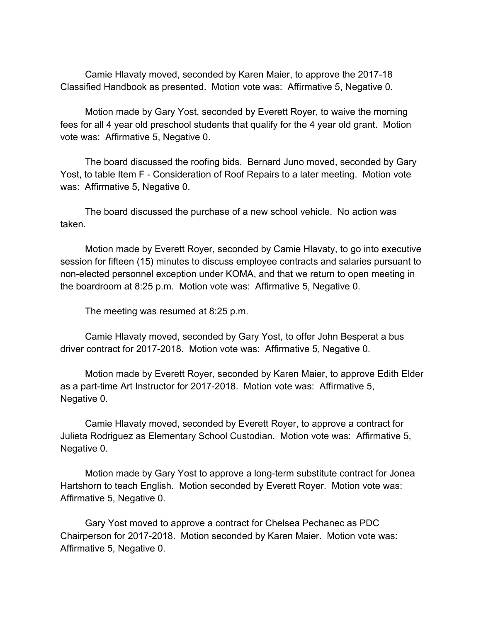Camie Hlavaty moved, seconded by Karen Maier, to approve the 2017-18 Classified Handbook as presented. Motion vote was: Affirmative 5, Negative 0.

Motion made by Gary Yost, seconded by Everett Royer, to waive the morning fees for all 4 year old preschool students that qualify for the 4 year old grant. Motion vote was: Affirmative 5, Negative 0.

The board discussed the roofing bids. Bernard Juno moved, seconded by Gary Yost, to table Item F - Consideration of Roof Repairs to a later meeting. Motion vote was: Affirmative 5, Negative 0.

The board discussed the purchase of a new school vehicle. No action was taken.

Motion made by Everett Royer, seconded by Camie Hlavaty, to go into executive session for fifteen (15) minutes to discuss employee contracts and salaries pursuant to non-elected personnel exception under KOMA, and that we return to open meeting in the boardroom at 8:25 p.m. Motion vote was: Affirmative 5, Negative 0.

The meeting was resumed at 8:25 p.m.

Camie Hlavaty moved, seconded by Gary Yost, to offer John Besperat a bus driver contract for 2017-2018. Motion vote was: Affirmative 5, Negative 0.

Motion made by Everett Royer, seconded by Karen Maier, to approve Edith Elder as a part-time Art Instructor for 2017-2018. Motion vote was: Affirmative 5, Negative 0.

Camie Hlavaty moved, seconded by Everett Royer, to approve a contract for Julieta Rodriguez as Elementary School Custodian. Motion vote was: Affirmative 5, Negative 0.

Motion made by Gary Yost to approve a long-term substitute contract for Jonea Hartshorn to teach English. Motion seconded by Everett Royer. Motion vote was: Affirmative 5, Negative 0.

Gary Yost moved to approve a contract for Chelsea Pechanec as PDC Chairperson for 2017-2018. Motion seconded by Karen Maier. Motion vote was: Affirmative 5, Negative 0.